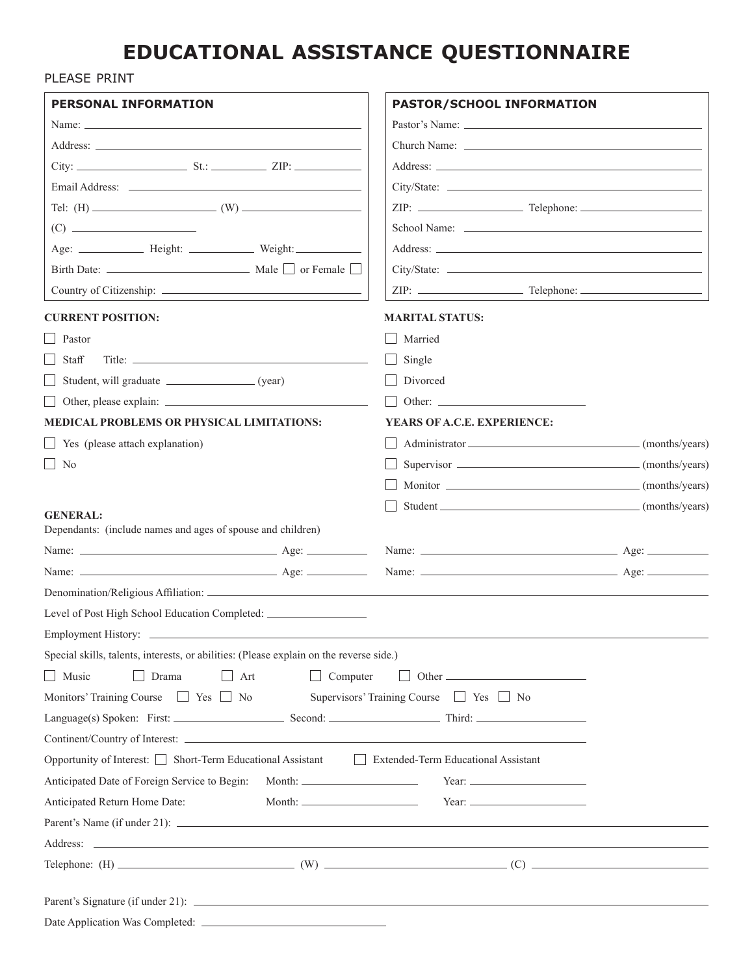## **EDUCATIONAL ASSISTANCE QUESTIONNAIRE**

## PLEASE PRINT

| <b>PERSONAL INFORMATION</b>                                                                                                                                                                                                    |                        | PASTOR/SCHOOL INFORMATION                                                                                                                                                                                                                                                              |  |
|--------------------------------------------------------------------------------------------------------------------------------------------------------------------------------------------------------------------------------|------------------------|----------------------------------------------------------------------------------------------------------------------------------------------------------------------------------------------------------------------------------------------------------------------------------------|--|
|                                                                                                                                                                                                                                |                        |                                                                                                                                                                                                                                                                                        |  |
|                                                                                                                                                                                                                                |                        |                                                                                                                                                                                                                                                                                        |  |
| $City:$ $ZIP:$                                                                                                                                                                                                                 |                        |                                                                                                                                                                                                                                                                                        |  |
|                                                                                                                                                                                                                                |                        |                                                                                                                                                                                                                                                                                        |  |
|                                                                                                                                                                                                                                |                        |                                                                                                                                                                                                                                                                                        |  |
|                                                                                                                                                                                                                                |                        |                                                                                                                                                                                                                                                                                        |  |
|                                                                                                                                                                                                                                |                        |                                                                                                                                                                                                                                                                                        |  |
|                                                                                                                                                                                                                                |                        | City/State:                                                                                                                                                                                                                                                                            |  |
|                                                                                                                                                                                                                                |                        |                                                                                                                                                                                                                                                                                        |  |
| <b>CURRENT POSITION:</b>                                                                                                                                                                                                       |                        | <b>MARITAL STATUS:</b>                                                                                                                                                                                                                                                                 |  |
| Pastor                                                                                                                                                                                                                         |                        | Married                                                                                                                                                                                                                                                                                |  |
| Staff                                                                                                                                                                                                                          |                        | $\mathbf{I}$<br>Single                                                                                                                                                                                                                                                                 |  |
| $\sqcup$                                                                                                                                                                                                                       |                        | Divorced                                                                                                                                                                                                                                                                               |  |
|                                                                                                                                                                                                                                |                        |                                                                                                                                                                                                                                                                                        |  |
| MEDICAL PROBLEMS OR PHYSICAL LIMITATIONS:                                                                                                                                                                                      |                        | YEARS OF A.C.E. EXPERIENCE:                                                                                                                                                                                                                                                            |  |
| $\Box$ Yes (please attach explanation)                                                                                                                                                                                         |                        | Administrator (months/years)                                                                                                                                                                                                                                                           |  |
| $\Box$ No                                                                                                                                                                                                                      |                        | Supervisor (months/years)                                                                                                                                                                                                                                                              |  |
|                                                                                                                                                                                                                                |                        |                                                                                                                                                                                                                                                                                        |  |
|                                                                                                                                                                                                                                |                        |                                                                                                                                                                                                                                                                                        |  |
| <b>GENERAL:</b><br>Dependants: (include names and ages of spouse and children)                                                                                                                                                 |                        |                                                                                                                                                                                                                                                                                        |  |
|                                                                                                                                                                                                                                |                        |                                                                                                                                                                                                                                                                                        |  |
|                                                                                                                                                                                                                                |                        |                                                                                                                                                                                                                                                                                        |  |
|                                                                                                                                                                                                                                |                        |                                                                                                                                                                                                                                                                                        |  |
| Level of Post High School Education Completed: _________________________________                                                                                                                                               |                        |                                                                                                                                                                                                                                                                                        |  |
|                                                                                                                                                                                                                                |                        |                                                                                                                                                                                                                                                                                        |  |
| Special skills, talents, interests, or abilities: (Please explain on the reverse side.)                                                                                                                                        |                        |                                                                                                                                                                                                                                                                                        |  |
| Music<br>$\Box$ Art<br>$\perp$<br>Drama                                                                                                                                                                                        | $\Box$ Computer        | $\mathbf{I}$                                                                                                                                                                                                                                                                           |  |
| Monitors' Training Course Stress No                                                                                                                                                                                            |                        | Supervisors' Training Course Steps No                                                                                                                                                                                                                                                  |  |
|                                                                                                                                                                                                                                |                        |                                                                                                                                                                                                                                                                                        |  |
|                                                                                                                                                                                                                                |                        |                                                                                                                                                                                                                                                                                        |  |
| Opportunity of Interest: Short-Term Educational Assistant Extended-Term Educational Assistant                                                                                                                                  |                        |                                                                                                                                                                                                                                                                                        |  |
| Anticipated Date of Foreign Service to Begin: Month: ___________________________                                                                                                                                               |                        |                                                                                                                                                                                                                                                                                        |  |
| Anticipated Return Home Date:                                                                                                                                                                                                  | Month: $\qquad \qquad$ | Year: $\frac{1}{2}$ Year: $\frac{1}{2}$ Year: $\frac{1}{2}$ Year: $\frac{1}{2}$ Year: $\frac{1}{2}$ Year: $\frac{1}{2}$ Year: $\frac{1}{2}$ Year: $\frac{1}{2}$ Year: $\frac{1}{2}$ Year: $\frac{1}{2}$ Year: $\frac{1}{2}$ Year: $\frac{1}{2}$ Year: $\frac{1}{2}$ Year: $\frac{1}{2$ |  |
|                                                                                                                                                                                                                                |                        |                                                                                                                                                                                                                                                                                        |  |
| Address: Address: Address: Address: Address: Address: Address: Address: Address: Address: Address: Address: Address: Address: Address: Address: Address: Address: Address: Address: Address: Address: Address: Address: Addres |                        |                                                                                                                                                                                                                                                                                        |  |
|                                                                                                                                                                                                                                |                        |                                                                                                                                                                                                                                                                                        |  |
|                                                                                                                                                                                                                                |                        |                                                                                                                                                                                                                                                                                        |  |
|                                                                                                                                                                                                                                |                        |                                                                                                                                                                                                                                                                                        |  |
|                                                                                                                                                                                                                                |                        |                                                                                                                                                                                                                                                                                        |  |